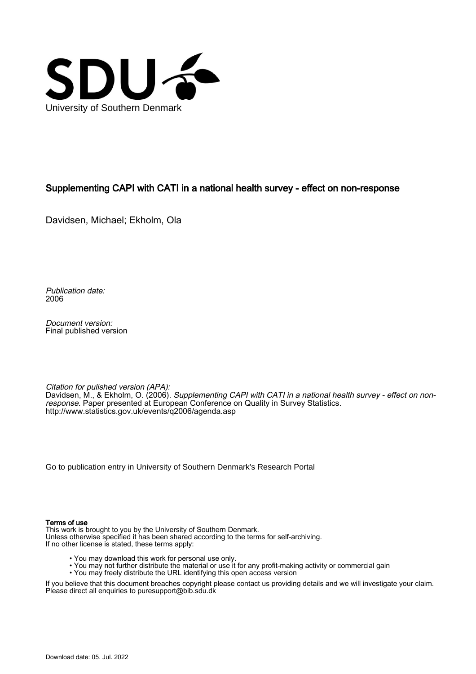

## Supplementing CAPI with CATI in a national health survey - effect on non-response

Davidsen, Michael; Ekholm, Ola

Publication date: 2006

Document version: Final published version

Citation for pulished version (APA): Davidsen, M., & Ekholm, O. (2006). Supplementing CAPI with CATI in a national health survey - effect on nonresponse. Paper presented at European Conference on Quality in Survey Statistics. <http://www.statistics.gov.uk/events/q2006/agenda.asp>

[Go to publication entry in University of Southern Denmark's Research Portal](https://portal.findresearcher.sdu.dk/en/publications/91b34400-7b48-11de-9c46-000ea68e967b)

#### Terms of use

This work is brought to you by the University of Southern Denmark. Unless otherwise specified it has been shared according to the terms for self-archiving. If no other license is stated, these terms apply:

- You may download this work for personal use only.
- You may not further distribute the material or use it for any profit-making activity or commercial gain
- You may freely distribute the URL identifying this open access version

If you believe that this document breaches copyright please contact us providing details and we will investigate your claim. Please direct all enquiries to puresupport@bib.sdu.dk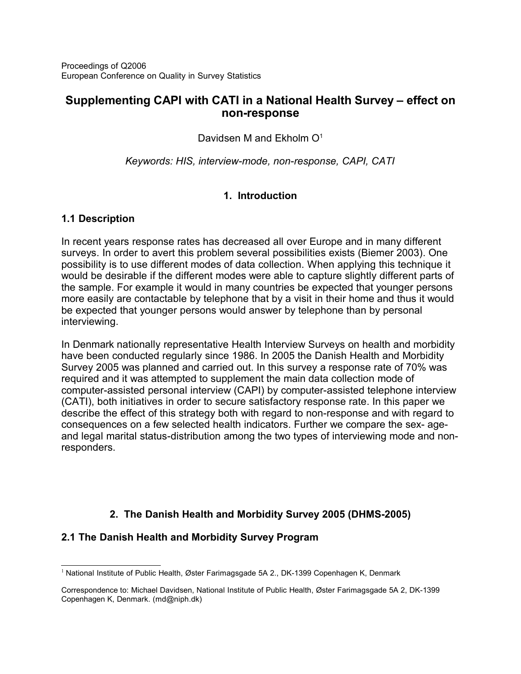# **Supplementing CAPI with CATI in a National Health Survey – effect on non-response**

Davidsen M and Ekholm O<sup>[1](#page-1-0)</sup>

*Keywords: HIS, interview-mode, non-response, CAPI, CATI*

## **1. Introduction**

## **1.1 Description**

In recent years response rates has decreased all over Europe and in many different surveys. In order to avert this problem several possibilities exists (Biemer 2003). One possibility is to use different modes of data collection. When applying this technique it would be desirable if the different modes were able to capture slightly different parts of the sample. For example it would in many countries be expected that younger persons more easily are contactable by telephone that by a visit in their home and thus it would be expected that younger persons would answer by telephone than by personal interviewing.

In Denmark nationally representative Health Interview Surveys on health and morbidity have been conducted regularly since 1986. In 2005 the Danish Health and Morbidity Survey 2005 was planned and carried out. In this survey a response rate of 70% was required and it was attempted to supplement the main data collection mode of computer-assisted personal interview (CAPI) by computer-assisted telephone interview (CATI), both initiatives in order to secure satisfactory response rate. In this paper we describe the effect of this strategy both with regard to non-response and with regard to consequences on a few selected health indicators. Further we compare the sex- ageand legal marital status-distribution among the two types of interviewing mode and nonresponders.

# **2. The Danish Health and Morbidity Survey 2005 (DHMS-2005)**

## **2.1 The Danish Health and Morbidity Survey Program**

<span id="page-1-0"></span><sup>&</sup>lt;sup>1</sup> National Institute of Public Health, Øster Farimagsgade 5A 2., DK-1399 Copenhagen K, Denmark

Correspondence to: Michael Davidsen, National Institute of Public Health, Øster Farimagsgade 5A 2, DK-1399 Copenhagen K, Denmark. (md@niph.dk)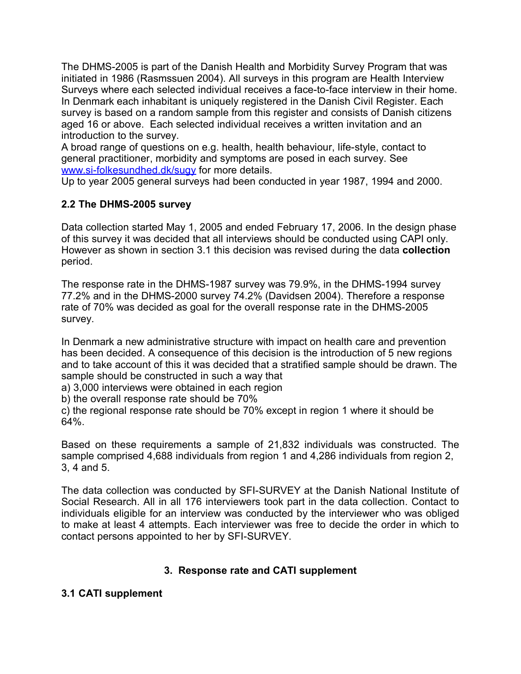The DHMS-2005 is part of the Danish Health and Morbidity Survey Program that was initiated in 1986 (Rasmssuen 2004). All surveys in this program are Health Interview Surveys where each selected individual receives a face-to-face interview in their home. In Denmark each inhabitant is uniquely registered in the Danish Civil Register. Each survey is based on a random sample from this register and consists of Danish citizens aged 16 or above. Each selected individual receives a written invitation and an introduction to the survey.

A broad range of questions on e.g. health, health behaviour, life-style, contact to general practitioner, morbidity and symptoms are posed in each survey. See [www.si-folkesundhed.dk/sugy](http://www.si-folkesundhed.dk/sugy) for more details.

Up to year 2005 general surveys had been conducted in year 1987, 1994 and 2000.

## **2.2 The DHMS-2005 survey**

Data collection started May 1, 2005 and ended February 17, 2006. In the design phase of this survey it was decided that all interviews should be conducted using CAPI only. However as shown in section 3.1 this decision was revised during the data **collection** period.

The response rate in the DHMS-1987 survey was 79.9%, in the DHMS-1994 survey 77.2% and in the DHMS-2000 survey 74.2% (Davidsen 2004). Therefore a response rate of 70% was decided as goal for the overall response rate in the DHMS-2005 survey.

In Denmark a new administrative structure with impact on health care and prevention has been decided. A consequence of this decision is the introduction of 5 new regions and to take account of this it was decided that a stratified sample should be drawn. The sample should be constructed in such a way that

a) 3,000 interviews were obtained in each region

b) the overall response rate should be 70%

c) the regional response rate should be 70% except in region 1 where it should be 64%.

Based on these requirements a sample of 21,832 individuals was constructed. The sample comprised 4,688 individuals from region 1 and 4,286 individuals from region 2, 3, 4 and 5.

The data collection was conducted by SFI-SURVEY at the Danish National Institute of Social Research. All in all 176 interviewers took part in the data collection. Contact to individuals eligible for an interview was conducted by the interviewer who was obliged to make at least 4 attempts. Each interviewer was free to decide the order in which to contact persons appointed to her by SFI-SURVEY.

## **3. Response rate and CATI supplement**

## **3.1 CATI supplement**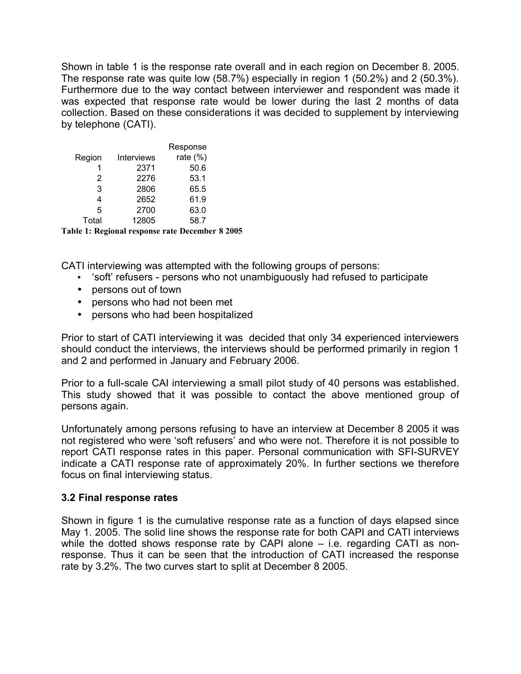Shown in table 1 is the response rate overall and in each region on December 8. 2005. The response rate was quite low (58.7%) especially in region 1 (50.2%) and 2 (50.3%). Furthermore due to the way contact between interviewer and respondent was made it was expected that response rate would be lower during the last 2 months of data collection. Based on these considerations it was decided to supplement by interviewing by telephone (CATI).

|        |            | Response    |
|--------|------------|-------------|
| Region | Interviews | rate $(\%)$ |
| 1      | 2371       | 50.6        |
| 2      | 2276       | 53.1        |
| 3      | 2806       | 65.5        |
| 4      | 2652       | 61.9        |
| 5      | 2700       | 63.0        |
| Total  | 12805      | 58.7        |
|        |            |             |

**Table 1: Regional response rate December 8 2005**

CATI interviewing was attempted with the following groups of persons:

- 'soft' refusers persons who not unambiguously had refused to participate
- persons out of town
- persons who had not been met
- persons who had been hospitalized

Prior to start of CATI interviewing it was decided that only 34 experienced interviewers should conduct the interviews, the interviews should be performed primarily in region 1 and 2 and performed in January and February 2006.

Prior to a full-scale CAI interviewing a small pilot study of 40 persons was established. This study showed that it was possible to contact the above mentioned group of persons again.

Unfortunately among persons refusing to have an interview at December 8 2005 it was not registered who were 'soft refusers' and who were not. Therefore it is not possible to report CATI response rates in this paper. Personal communication with SFI-SURVEY indicate a CATI response rate of approximately 20%. In further sections we therefore focus on final interviewing status.

#### **3.2 Final response rates**

Shown in figure 1 is the cumulative response rate as a function of days elapsed since May 1. 2005. The solid line shows the response rate for both CAPI and CATI interviews while the dotted shows response rate by CAPI alone – i.e. regarding CATI as nonresponse. Thus it can be seen that the introduction of CATI increased the response rate by 3.2%. The two curves start to split at December 8 2005.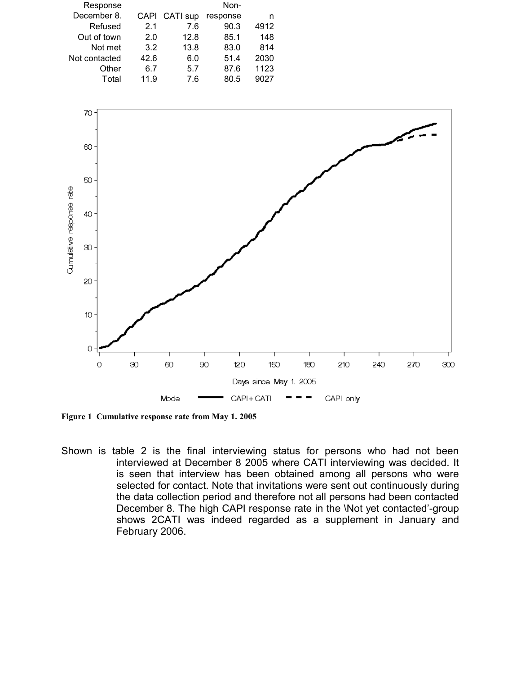|      |      | Non-          |      |
|------|------|---------------|------|
|      |      | response      | n    |
| 2.1  | 7.6  | 90.3          | 4912 |
| 2.0  | 12.8 | 85.1          | 148  |
| 3.2  | 13.8 | 83.0          | 814  |
| 42.6 | 6.0  | 51.4          | 2030 |
| 6.7  | 5.7  | 87.6          | 1123 |
| 11.9 | 7.6  | 80.5          | 9027 |
|      |      | CAPI CATI sup |      |



**Figure 1 Cumulative response rate from May 1. 2005**

Shown is table 2 is the final interviewing status for persons who had not been interviewed at December 8 2005 where CATI interviewing was decided. It is seen that interview has been obtained among all persons who were selected for contact. Note that invitations were sent out continuously during the data collection period and therefore not all persons had been contacted December 8. The high CAPI response rate in the \Not yet contacted'-group shows 2CATI was indeed regarded as a supplement in January and February 2006.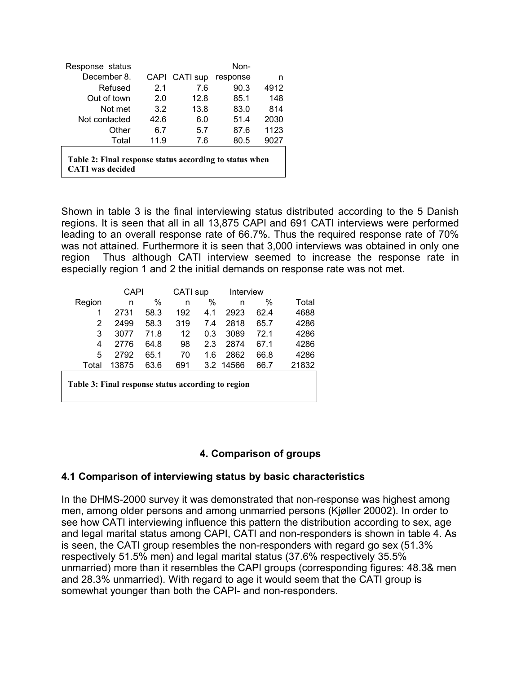| Response status                                                                    |      |               | Non-     |      |  |  |
|------------------------------------------------------------------------------------|------|---------------|----------|------|--|--|
| December 8.                                                                        |      | CAPI CATI sup | response | n    |  |  |
| Refused                                                                            | 2.1  | 7.6           | 90.3     | 4912 |  |  |
| Out of town                                                                        | 2.0  | 12.8          | 85.1     | 148  |  |  |
| Not met                                                                            | 3.2  | 13.8          | 83.0     | 814  |  |  |
| Not contacted                                                                      | 42.6 | 6.0           | 51.4     | 2030 |  |  |
| Other                                                                              | 6.7  | 5.7           | 87.6     | 1123 |  |  |
| Total                                                                              | 11.9 | 7.6           | 80.5     | 9027 |  |  |
| Table 2: Final response status according to status when<br><b>CATI</b> was decided |      |               |          |      |  |  |

Shown in table 3 is the final interviewing status distributed according to the 5 Danish regions. It is seen that all in all 13,875 CAPI and 691 CATI interviews were performed leading to an overall response rate of 66.7%. Thus the required response rate of 70% was not attained. Furthermore it is seen that 3,000 interviews was obtained in only one region Thus although CATI interview seemed to increase the response rate in especially region 1 and 2 the initial demands on response rate was not met.

|                                                    | CAPI  |      | CATI sup |     | Interview |      |       |
|----------------------------------------------------|-------|------|----------|-----|-----------|------|-------|
| Region                                             | n     | %    | n        | %   | n         | $\%$ | Total |
|                                                    | 2731  | 58.3 | 192      | 4.1 | 2923      | 62.4 | 4688  |
| 2                                                  | 2499  | 58.3 | 319      | 7.4 | 2818      | 65.7 | 4286  |
| 3                                                  | 3077  | 71.8 | 12       | 0.3 | 3089      | 72.1 | 4286  |
| 4                                                  | 2776  | 64.8 | 98       | 2.3 | 2874      | 67.1 | 4286  |
| 5                                                  | 2792  | 65.1 | 70       | 1.6 | 2862      | 66.8 | 4286  |
| Total                                              | 13875 | 63.6 | 691      |     | 3.2 14566 | 66.7 | 21832 |
| Table 3: Final response status according to region |       |      |          |     |           |      |       |

## **4. Comparison of groups**

## **4.1 Comparison of interviewing status by basic characteristics**

In the DHMS-2000 survey it was demonstrated that non-response was highest among men, among older persons and among unmarried persons (Kjøller 20002). In order to see how CATI interviewing influence this pattern the distribution according to sex, age and legal marital status among CAPI, CATI and non-responders is shown in table 4. As is seen, the CATI group resembles the non-responders with regard go sex (51.3% respectively 51.5% men) and legal marital status (37.6% respectively 35.5% unmarried) more than it resembles the CAPI groups (corresponding figures: 48.3& men and 28.3% unmarried). With regard to age it would seem that the CATI group is somewhat younger than both the CAPI- and non-responders.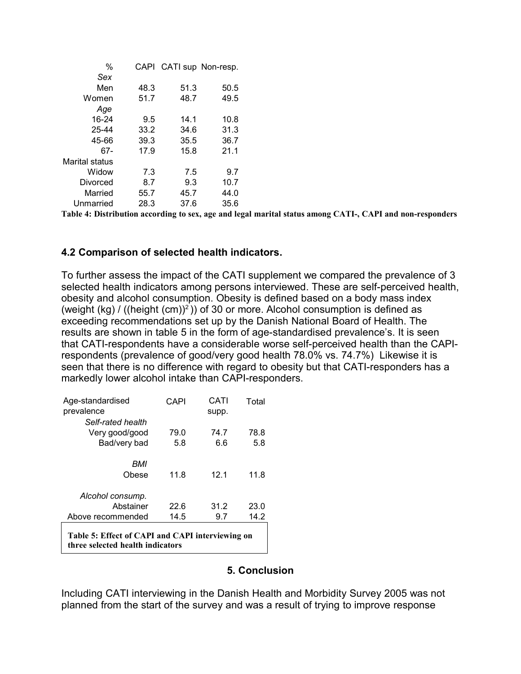| $\%$           | CAPI |      | CATI sup Non-resp. |
|----------------|------|------|--------------------|
| Sex            |      |      |                    |
| Men            | 48.3 | 51.3 | 50.5               |
| Women          | 51.7 | 48.7 | 49.5               |
| Age            |      |      |                    |
| 16-24          | 9.5  | 14.1 | 10.8               |
| 25-44          | 33.2 | 34.6 | 31.3               |
| 45-66          | 39.3 | 35.5 | 36.7               |
| 67-            | 17.9 | 15.8 | 21.1               |
| Marital status |      |      |                    |
| Widow          | 7.3  | 7.5  | 9.7                |
| Divorced       | 8.7  | 9.3  | 10.7               |
| Married        | 55.7 | 45.7 | 44.0               |
| Unmarried      | 28.3 | 37.6 | 35.6               |

**Table 4: Distribution according to sex, age and legal marital status among CATI-, CAPI and non-responders**

## **4.2 Comparison of selected health indicators.**

To further assess the impact of the CATI supplement we compared the prevalence of 3 selected health indicators among persons interviewed. These are self-perceived health, obesity and alcohol consumption. Obesity is defined based on a body mass index (weight (kg) / ((height (cm))<sup>2</sup>)) of 30 or more. Alcohol consumption is defined as exceeding recommendations set up by the Danish National Board of Health. The results are shown in table 5 in the form of age-standardised prevalence's. It is seen that CATI-respondents have a considerable worse self-perceived health than the CAPIrespondents (prevalence of good/very good health 78.0% vs. 74.7%) Likewise it is seen that there is no difference with regard to obesity but that CATI-responders has a markedly lower alcohol intake than CAPI-responders.

| Age-standardised                                                                     | CAPI | CATI  | Total |  |
|--------------------------------------------------------------------------------------|------|-------|-------|--|
| prevalence                                                                           |      | supp. |       |  |
| Self-rated health                                                                    |      |       |       |  |
| Very good/good                                                                       | 79.0 | 74.7  | 78.8  |  |
| Bad/very bad                                                                         | 5.8  | 6.6   | 5.8   |  |
| BMI                                                                                  |      |       |       |  |
| Obese                                                                                | 11.8 | 12.1  | 11.8  |  |
| Alcohol consump.                                                                     |      |       |       |  |
| Abstainer                                                                            | 22.6 | 31.2  | 23.0  |  |
| Above recommended                                                                    | 14.5 | 9.7   | 14.2  |  |
| Table 5: Effect of CAPI and CAPI interviewing on<br>three selected health indicators |      |       |       |  |

## **5. Conclusion**

Including CATI interviewing in the Danish Health and Morbidity Survey 2005 was not planned from the start of the survey and was a result of trying to improve response